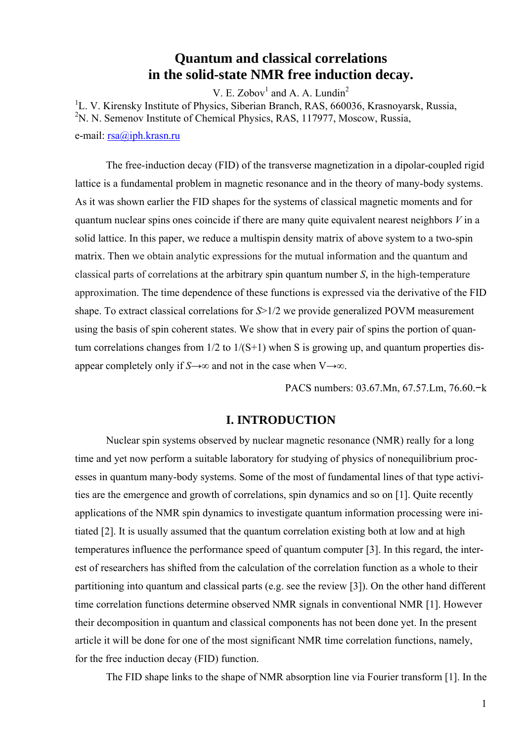## **Quantum and classical correlations in the solid-state NMR free induction decay.**

V. E. Zobov<sup>1</sup> and A. A. Lundin<sup>2</sup>

<sup>1</sup>L. V. Kirensky Institute of Physics, Siberian Branch, RAS, 660036, Krasnoyarsk, Russia,

<sup>2</sup>N. N. Semenov Institute of Chemical Physics, RAS, 117977, Moscow, Russia,

e-mail: [rsa@iph.krasn.ru](mailto:rsa@iph.krasn.ru)

The free-induction decay (FID) of the transverse magnetization in a dipolar-coupled rigid lattice is a fundamental problem in magnetic resonance and in the theory of many-body systems. As it was shown earlier the FID shapes for the systems of classical magnetic moments and for quantum nuclear spins ones coincide if there are many quite equivalent nearest neighbors *V* in a solid lattice. In this paper, we reduce a multispin density matrix of above system to a two-spin matrix. Then we obtain analytic expressions for the mutual information and the quantum and classical parts of correlations at the arbitrary spin quantum number *S*, in the high-temperature approximation. The time dependence of these functions is expressed via the derivative of the FID shape. To extract classical correlations for *S*>1/2 we provide generalized POVM measurement using the basis of spin coherent states. We show that in every pair of spins the portion of quantum correlations changes from  $1/2$  to  $1/(S+1)$  when S is growing up, and quantum properties disappear completely only if  $S\rightarrow\infty$  and not in the case when V $\rightarrow\infty$ .

PACS numbers: 03.67.Mn, 67.57.Lm, 76.60.−k

### **I. INTRODUCTION**

Nuclear spin systems observed by nuclear magnetic resonance (NMR) really for a long time and yet now perform a suitable laboratory for studying of physics of nonequilibrium processes in quantum many-body systems. Some of the most of fundamental lines of that type activities are the emergence and growth of correlations, spin dynamics and so on [1]. Quite recently applications of the NMR spin dynamics to investigate quantum information processing were initiated [2]. It is usually assumed that the quantum correlation existing both at low and at high temperatures influence the performance speed of quantum computer [3]. In this regard, the interest of researchers has shifted from the calculation of the correlation function as a whole to their partitioning into quantum and classical parts (e.g. see the review [3]). On the other hand different time correlation functions determine observed NMR signals in conventional NMR [1]. However their decomposition in quantum and classical components has not been done yet. In the present article it will be done for one of the most significant NMR time correlation functions, namely, for the free induction decay (FID) function.

The FID shape links to the shape of NMR absorption line via Fourier transform [1]. In the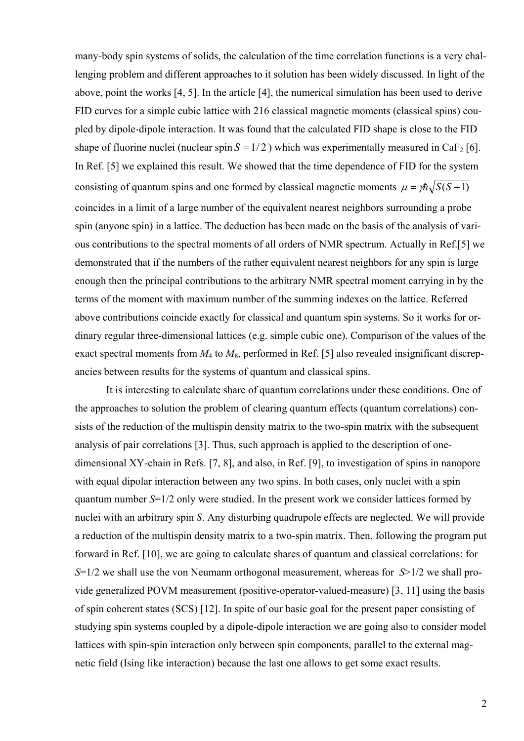many-body spin systems of solids, the calculation of the time correlation functions is a very challenging problem and different approaches to it solution has been widely discussed. In light of the above, point the works [4, 5]. In the article [4], the numerical simulation has been used to derive FID curves for a simple cubic lattice with 216 classical magnetic moments (classical spins) coupled by dipole-dipole interaction. It was found that the calculated FID shape is close to the FID shape of fluorine nuclei (nuclear spin  $S = 1/2$ ) which was experimentally measured in CaF<sub>2</sub> [6]. In Ref. [5] we explained this result. We showed that the time dependence of FID for the system consisting of quantum spins and one formed by classical magnetic moments  $\mu = \frac{\hbar}{S(S+1)}$ coincides in a limit of a large number of the equivalent nearest neighbors surrounding a probe spin (anyone spin) in a lattice. The deduction has been made on the basis of the analysis of various contributions to the spectral moments of all orders of NMR spectrum. Actually in Ref.[5] we demonstrated that if the numbers of the rather equivalent nearest neighbors for any spin is large enough then the principal contributions to the arbitrary NMR spectral moment carrying in by the terms of the moment with maximum number of the summing indexes on the lattice. Referred above contributions coincide exactly for classical and quantum spin systems. So it works for ordinary regular three-dimensional lattices (e.g. simple cubic one). Comparison of the values of the exact spectral moments from  $M_4$  to  $M_8$ , performed in Ref. [5] also revealed insignificant discrepancies between results for the systems of quantum and classical spins.

It is interesting to calculate share of quantum correlations under these conditions. One of the approaches to solution the problem of clearing quantum effects (quantum correlations) consists of the reduction of the multispin density matrix to the two-spin matrix with the subsequent analysis of pair correlations [3]. Thus, such approach is applied to the description of onedimensional XY-chain in Refs. [7, 8], and also, in Ref. [9], to investigation of spins in nanopore with equal dipolar interaction between any two spins. In both cases, only nuclei with a spin quantum number *S*=1/2 only were studied. In the present work we consider lattices formed by nuclei with an arbitrary spin *S*. Any disturbing quadrupole effects are neglected. We will provide a reduction of the multispin density matrix to a two-spin matrix. Then, following the program put forward in Ref. [10], we are going to calculate shares of quantum and classical correlations: for *S*=1/2 we shall use the von Neumann orthogonal measurement, whereas for *S*>1/2 we shall provide generalized POVM measurement (positive-operator-valued-measure) [3, 11] using the basis of spin coherent states (SCS) [12]. In spite of our basic goal for the present paper consisting of studying spin systems coupled by a dipole-dipole interaction we are going also to consider model lattices with spin-spin interaction only between spin components, parallel to the external magnetic field (Ising like interaction) because the last one allows to get some exact results.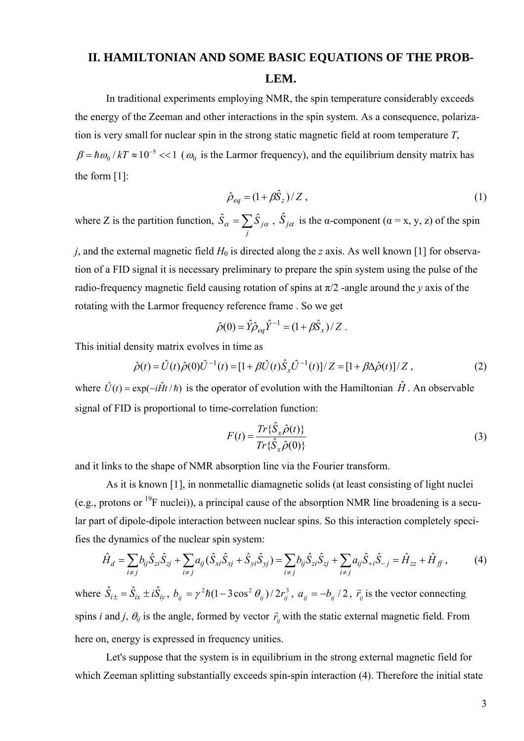# **II. HAMILTONIAN AND SOME BASIC EQUATIONS OF THE PROB-LEM.**

In traditional experiments employing NMR, the spin temperature considerably exceeds the energy of the Zeeman and other interactions in the spin system. As a consequence, polarization is very small for nuclear spin in the strong static magnetic field at room temperature *T*,  $\beta = \hbar \omega_0 / kT \approx 10^{-5} \ll 1$  ( $\omega_0$  is the Larmor frequency), and the equilibrium density matrix has the form [1]:

$$
\hat{\rho}_{eq} = (1 + \beta \hat{S}_z) / Z , \qquad (1)
$$

where Z is the partition function,  $\hat{S}_{\alpha} = \sum$ *j*  $\hat{S}_{\alpha} = \sum \hat{S}_{j\alpha}$ ,  $\hat{S}_{j\alpha}$  is the α-component ( $\alpha = x, y, z$ ) of the spin

*j*, and the external magnetic field *H* 0 is directed along the *z* axis. As well known [1] for observation of a FID signal it is necessary preliminary to prepare the spin system using the pulse of the radio-frequency magnetic field causing rotation of spins at  $\pi/2$  -angle around the *y* axis of the rotating with the Larmor frequency reference frame . So we get

$$
\hat{\rho}(0) = \hat{Y}\hat{\rho}_{eq}\hat{Y}^{-1} = (1 + \beta \hat{S}_x) / Z.
$$

This initial density matrix evolves in time as

$$
\hat{\rho}(t) = \hat{U}(t)\hat{\rho}(0)\hat{U}^{-1}(t) = [1 + \beta \hat{U}(t)\hat{S}_x\hat{U}^{-1}(t)]/Z = [1 + \beta \Delta \hat{\rho}(t)]/Z, \qquad (2)
$$

where  $\hat{U}(t) = \exp(-i\hat{H}t/\hbar)$  is the operator of evolution with the Hamiltonian  $\hat{H}$ . An observable signal of FID is proportional to time-correlation function:

$$
F(t) = \frac{Tr{\hat{S}_x \hat{\rho}(t)}}{Tr{\hat{S}_x \hat{\rho}(0)}}
$$
(3)

and it links to the shape of NMR absorption line via the Fourier transform.

As it is known [1], in nonmetallic diamagnetic solids (at least consisting of light nuclei (e.g., protons or  $^{19}F$  nuclei)), a principal cause of the absorption NMR line broadening is a secular part of dipole-dipole interaction between nuclear spins. So this interaction completely specifies the dynamics of the nuclear spin system:

$$
\hat{H}_d = \sum_{i \neq j} b_{ij} \hat{S}_{zi} \hat{S}_{zj} + \sum_{i \neq j} a_{ij} (\hat{S}_{xi} \hat{S}_{xj} + \hat{S}_{yi} \hat{S}_{yj}) = \sum_{i \neq j} b_{ij} \hat{S}_{zi} \hat{S}_{zj} + \sum_{i \neq j} a_{ij} \hat{S}_{+i} \hat{S}_{-j} = \hat{H}_{zz} + \hat{H}_{ff},
$$
(4)

where  $\hat{S}_{i\pm} = \hat{S}_{ix} \pm i\hat{S}_{iy}$ ,  $b_{ij} = \gamma^2 \hbar (1 - 3\cos^2 \theta_{ij})/2r_{ij}^3$ ,  $a_{ij} = -b_{ij}/2$ ,  $\vec{r}_{ij}$  is the vector connecting spins *i* and *j*,  $\theta_{ij}$  is the angle, formed by vector  $\vec{r}_{ij}$  with the static external magnetic field. From here on, energy is expressed in frequency unities.

Let's suppose that the system is in equilibrium in the strong external magnetic field for which Zeeman splitting substantially exceeds spin-spin interaction (4). Therefore the initial state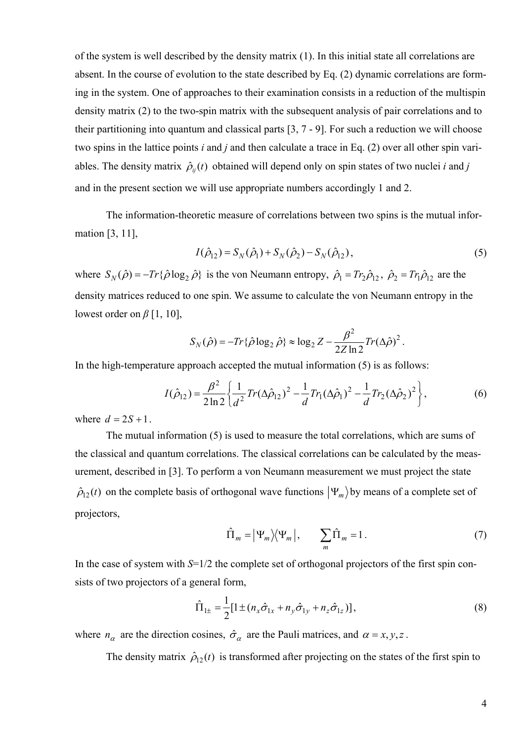of the system is well described by the density matrix (1). In this initial state all correlations are absent. In the course of evolution to the state described by Eq. (2) dynamic correlations are forming in the system. One of approaches to their examination consists in a reduction of the multispin density matrix (2) to the two-spin matrix with the subsequent analysis of pair correlations and to their partitioning into quantum and classical parts [3, 7 - 9]. For such a reduction we will choose two spins in the lattice points *i* and *j* and then calculate a trace in Eq. (2) over all other spin variables. The density matrix  $\hat{\rho}_{ij}(t)$  obtained will depend only on spin states of two nuclei *i* and *j* and in the present section we will use appropriate numbers accordingly 1 and 2.

The information-theoretic measure of correlations between two spins is the mutual information [3, 11],

$$
I(\hat{\rho}_{12}) = S_N(\hat{\rho}_1) + S_N(\hat{\rho}_2) - S_N(\hat{\rho}_{12}),
$$
\n(5)

where  $S_N(\hat{\rho}) = -Tr\{\hat{\rho}\log_2\hat{\rho}\}\$  is the von Neumann entropy,  $\hat{\rho}_1 = Tr_2\hat{\rho}_{12}$ ,  $\hat{\rho}_2 = Tr_1\hat{\rho}_{12}$  are the density matrices reduced to one spin. We assume to calculate the von Neumann entropy in the lowest order on *β* [1, 10],

$$
S_N(\hat{\rho}) = -Tr\{\hat{\rho}\log_2\hat{\rho}\} \approx \log_2 Z - \frac{\beta^2}{2Z\ln 2}Tr(\Delta\hat{\rho})^2.
$$

In the high-temperature approach accepted the mutual information (5) is as follows:

$$
I(\hat{\rho}_{12}) = \frac{\beta^2}{2\ln 2} \left\{ \frac{1}{d^2} Tr(\Delta \hat{\rho}_{12})^2 - \frac{1}{d} Tr_1(\Delta \hat{\rho}_1)^2 - \frac{1}{d} Tr_2(\Delta \hat{\rho}_2)^2 \right\},
$$
(6)

where  $d = 2S + 1$ .

The mutual information (5) is used to measure the total correlations, which are sums of the classical and quantum correlations. The classical correlations can be calculated by the measurement, described in [3]. To perform a von Neumann measurement we must project the state  $\hat{\rho}_{12}(t)$  on the complete basis of orthogonal wave functions  $|\Psi_m\rangle$  by means of a complete set of projectors,

$$
\hat{\Pi}_m = |\Psi_m\rangle\langle\Psi_m|, \qquad \sum_m \hat{\Pi}_m = 1. \tag{7}
$$

In the case of system with  $S=1/2$  the complete set of orthogonal projectors of the first spin consists of two projectors of a general form,

$$
\hat{\Pi}_{1\pm} = \frac{1}{2} [1 \pm (n_x \hat{\sigma}_{1x} + n_y \hat{\sigma}_{1y} + n_z \hat{\sigma}_{1z})],
$$
\n(8)

where  $n_{\alpha}$  are the direction cosines,  $\hat{\sigma}_{\alpha}$  are the Pauli matrices, and  $\alpha = x, y, z$ .

The density matrix  $\hat{\rho}_{12}(t)$  is transformed after projecting on the states of the first spin to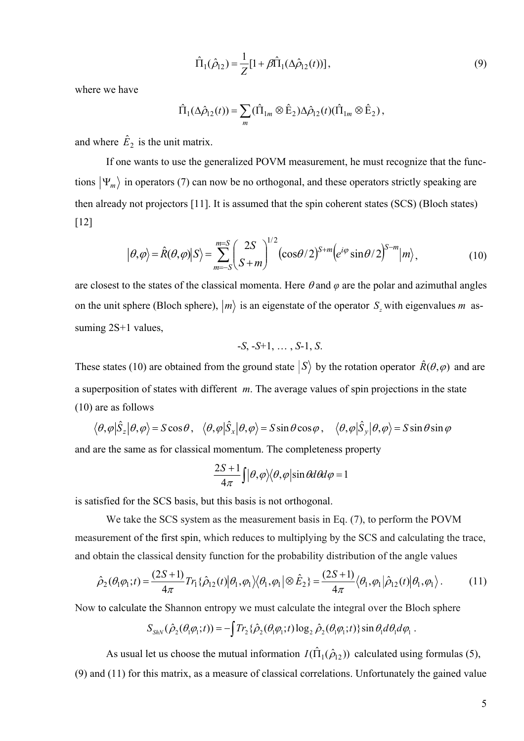$$
\hat{\Pi}_1(\hat{\rho}_{12}) = \frac{1}{Z} [1 + \beta \hat{\Pi}_1(\Delta \hat{\rho}_{12}(t))],
$$
\n(9)

where we have

$$
\hat{\Pi}_1(\Delta \hat{\rho}_{12}(t)) = \sum_m (\hat{\Pi}_{1m} \otimes \hat{E}_2) \Delta \hat{\rho}_{12}(t) (\hat{\Pi}_{1m} \otimes \hat{E}_2),
$$

and where  $\hat{E}_2$  is the unit matrix.

If one wants to use the generalized POVM measurement, he must recognize that the functions  $|\Psi_m\rangle$  in operators (7) can now be no orthogonal, and these operators strictly speaking are then already not projectors [11]. It is assumed that the spin coherent states (SCS) (Bloch states) [12]

$$
|\theta,\varphi\rangle = \hat{R}(\theta,\varphi)|S\rangle = \sum_{m=-S}^{m=S} \left(\frac{2S}{S+m}\right)^{1/2} (\cos\theta/2)^{S+m} \left(e^{i\varphi}\sin\theta/2\right)^{S-m} |m\rangle, \tag{10}
$$

are closest to the states of the classical momenta. Here  $\theta$  and  $\varphi$  are the polar and azimuthal angles on the unit sphere (Bloch sphere),  $|m\rangle$  is an eigenstate of the operator  $S_z$  with eigenvalues *m* assuming 2S+1 values,

$$
-S, -S+1, \ldots, S-1, S.
$$

These states (10) are obtained from the ground state  $|S\rangle$  by the rotation operator  $\hat{R}(\theta, \varphi)$  and are a superposition of states with different *m*. The average values of spin projections in the state (10) are as follows

$$
\langle \theta, \varphi | \hat{S}_z | \theta, \varphi \rangle = S \cos \theta, \quad \langle \theta, \varphi | \hat{S}_x | \theta, \varphi \rangle = S \sin \theta \cos \varphi, \quad \langle \theta, \varphi | \hat{S}_y | \theta, \varphi \rangle = S \sin \theta \sin \varphi
$$

and are the same as for classical momentum. The completeness property

$$
\frac{2S+1}{4\pi}\int |\theta,\varphi\rangle\langle\theta,\varphi|\sin\theta d\theta d\varphi=1
$$

is satisfied for the SCS basis, but this basis is not orthogonal.

We take the SCS system as the measurement basis in Eq. (7), to perform the POVM measurement of the first spin, which reduces to multiplying by the SCS and calculating the trace, and obtain the classical density function for the probability distribution of the angle values

$$
\hat{\rho}_2(\theta_1 \varphi_1;t) = \frac{(2S+1)}{4\pi} Tr_1\{\hat{\rho}_{12}(t) | \theta_1, \varphi_1 \rangle \langle \theta_1, \varphi_1 | \otimes \hat{E}_2\} = \frac{(2S+1)}{4\pi} \langle \theta_1, \varphi_1 | \hat{\rho}_{12}(t) | \theta_1, \varphi_1 \rangle. \tag{11}
$$

Now to calculate the Shannon entropy we must calculate the integral over the Bloch sphere

$$
S_{\text{ShN}}(\hat{\rho}_2(\theta_1 \varphi_1;t)) = -\int Tr_2\{\hat{\rho}_2(\theta_1 \varphi_1;t)\log_2 \hat{\rho}_2(\theta_1 \varphi_1;t)\}\sin\theta_1 d\theta_1 d\varphi_1.
$$

As usual let us choose the mutual information  $I(\hat{\Pi}_1(\hat{\rho}_1))$  calculated using formulas (5), (9) and (11) for this matrix, as a measure of classical correlations. Unfortunately the gained value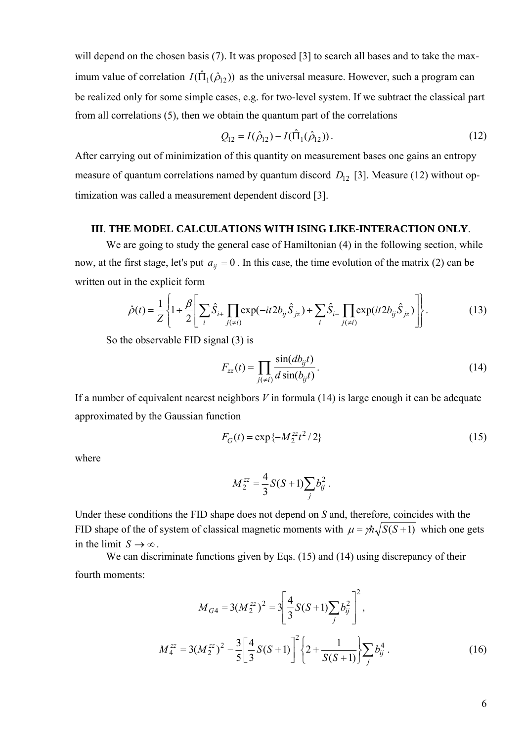will depend on the chosen basis (7). It was proposed [3] to search all bases and to take the maximum value of correlation  $I(\hat{\Pi}_1(\hat{\rho}_{12}))$  as the universal measure. However, such a program can be realized only for some simple cases, e.g. for two-level system. If we subtract the classical part from all correlations (5), then we obtain the quantum part of the correlations

$$
Q_{12} = I(\hat{\rho}_{12}) - I(\hat{\Pi}_1(\hat{\rho}_{12})).
$$
\n(12)

After carrying out of minimization of this quantity on measurement bases one gains an entropy measure of quantum correlations named by quantum discord  $D_{12}$  [3]. Measure (12) without optimization was called a measurement dependent discord [3].

### **III**. **THE MODEL CALCULATIONS WITH ISING LIKE-INTERACTION ONLY**.

We are going to study the general case of Hamiltonian  $(4)$  in the following section, while now, at the first stage, let's put  $a_{ij} = 0$ . In this case, the time evolution of the matrix (2) can be written out in the explicit form

$$
\hat{\rho}(t) = \frac{1}{Z} \left\{ 1 + \frac{\beta}{2} \left[ \sum_{i} \hat{S}_{i+} \prod_{j(\neq i)} \exp(-it2b_{ij}\hat{S}_{jz}) + \sum_{i} \hat{S}_{i-} \prod_{j(\neq i)} \exp(it2b_{ij}\hat{S}_{jz}) \right] \right\}.
$$
 (13)

So the observable FID signal (3) is

$$
F_{zz}(t) = \prod_{j(\neq i)} \frac{\sin(db_{ij}t)}{d\sin(b_{ij}t)}.
$$
\n(14)

If a number of equivalent nearest neighbors *V* in formula (14) is large enough it can be adequate approximated by the Gaussian function

$$
F_G(t) = \exp\{-M_2^{zz}t^2/2\}
$$
 (15)

where

$$
M_2^{zz} = \frac{4}{3} S(S+1) \sum_j b_{ij}^2.
$$

Under these conditions the FID shape does not depend on *S* and, therefore, coincides with the FID shape of the of system of classical magnetic moments with  $\mu = \frac{\pi}{S(S+1)}$  which one gets in the limit  $S \rightarrow \infty$ .

We can discriminate functions given by Eqs. (15) and (14) using discrepancy of their fourth moments:

$$
M_{G4} = 3(M_{2}^{zz})^{2} = 3\left[\frac{4}{3}S(S+1)\sum_{j}b_{ij}^{2}\right]^{2},
$$
  

$$
M_{4}^{zz} = 3(M_{2}^{zz})^{2} - \frac{3}{5}\left[\frac{4}{3}S(S+1)\right]^{2}\left\{2 + \frac{1}{S(S+1)}\right\}\sum_{j}b_{ij}^{4}.
$$
 (16)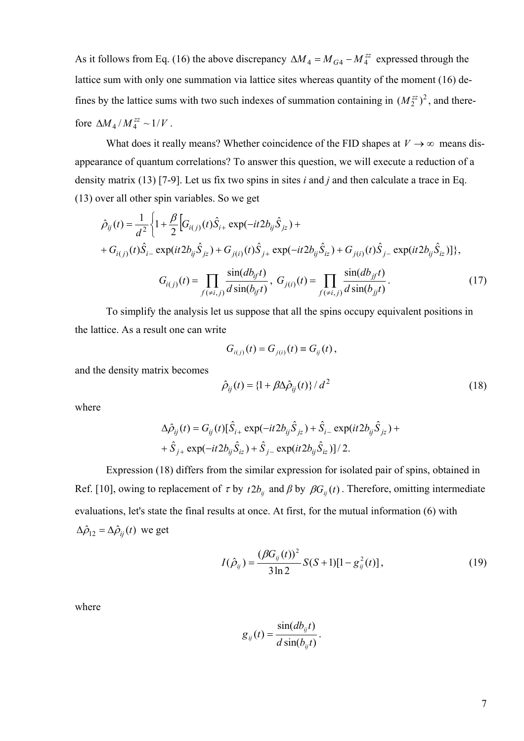As it follows from Eq. (16) the above discrepancy  $\Delta M_4 = M_{G4} - M_4^{zz}$  expressed through the lattice sum with only one summation via lattice sites whereas quantity of the moment (16) defines by the lattice sums with two such indexes of summation containing in  $(M_2^{zz})^2$ , and therefore  $\Delta M_4 / M_4^{zz} \sim 1/V$ .

What does it really means? Whether coincidence of the FID shapes at  $V \rightarrow \infty$  means disappearance of quantum correlations? To answer this question, we will execute a reduction of a density matrix (13) [7-9]. Let us fix two spins in sites *i* and *j* and then calculate a trace in Eq. (13) over all other spin variables. So we get

$$
\hat{\rho}_{ij}(t) = \frac{1}{d^2} \left\{ 1 + \frac{\beta}{2} \Big[ G_{i(j)}(t) \hat{S}_{i+} \exp(-it2b_{ij} \hat{S}_{jz}) + H_{i(j)}(t) \hat{S}_{i-} \exp(it2b_{ij} \hat{S}_{jz}) + H_{j(i)}(t) \hat{S}_{j+} \exp(-it2b_{ij} \hat{S}_{iz}) + H_{j(i)}(t) \hat{S}_{j-} \exp(it2b_{ij} \hat{S}_{iz}) \Big] \right\},\
$$
\n
$$
G_{i(j)}(t) = \prod_{f(\neq i,j)} \frac{\sin(db_{if}t)}{d \sin(b_{if}t)}, \ G_{j(i)}(t) = \prod_{f(\neq i,j)} \frac{\sin(db_{if}t)}{d \sin(b_{jj}t)}.
$$
\n(17)

To simplify the analysis let us suppose that all the spins occupy equivalent positions in the lattice. As a result one can write

$$
G_{i(j)}(t) = G_{j(i)}(t) \equiv G_{ij}(t),
$$

and the density matrix becomes

$$
\hat{\rho}_{ij}(t) = \left\{1 + \beta \Delta \hat{\rho}_{ij}(t)\right\} / d^2 \tag{18}
$$

where

$$
\Delta \hat{\rho}_{ij}(t) = G_{ij}(t) [\hat{S}_{i+} \exp(-it2b_{ij}\hat{S}_{jz}) + \hat{S}_{i-} \exp(it2b_{ij}\hat{S}_{jz}) ++ \hat{S}_{j+} \exp(-it2b_{ij}\hat{S}_{iz}) + \hat{S}_{j-} \exp(it2b_{ij}\hat{S}_{iz})]/2.
$$

Expression (18) differs from the similar expression for isolated pair of spins, obtained in Ref. [10], owing to replacement of  $\tau$  by  $t2b_{ij}$  and  $\beta$  by  $\beta G_{ij}(t)$ . Therefore, omitting intermediate evaluations, let's state the final results at once. At first, for the mutual information (6) with  $\Delta \hat{\rho}_{12} = \Delta \hat{\rho}_{ij}(t)$  we get

$$
I(\hat{\rho}_{ij}) = \frac{(\beta G_{ij}(t))^2}{3\ln 2} S(S+1)[1-g_{ij}^2(t)],
$$
\n(19)

where

$$
g_{ij}(t) = \frac{\sin(db_{ij}t)}{d\sin(b_{ij}t)}.
$$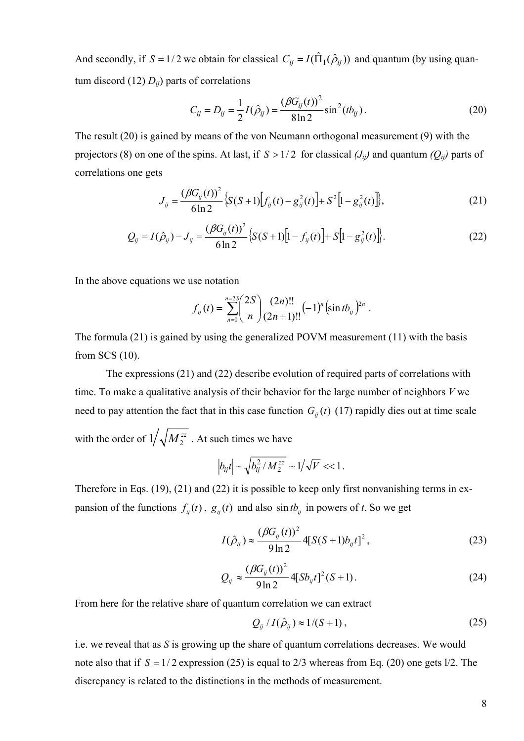And secondly, if  $S = 1/2$  we obtain for classical  $C_{ij} = I(\hat{\Pi}_1(\hat{\rho}_{ij}))$  and quantum (by using quantum discord  $(12) D_{ij}$  parts of correlations

$$
C_{ij} = D_{ij} = \frac{1}{2}I(\hat{\rho}_{ij}) = \frac{(\beta G_{ij}(t))^2}{8\ln 2}\sin^2(tb_{ij}).
$$
\n(20)

The result (20) is gained by means of the von Neumann orthogonal measurement (9) with the projectors (8) on one of the spins. At last, if  $S > 1/2$  for classical  $(J_{ij})$  and quantum  $(Q_{ij})$  parts of correlations one gets

$$
J_{ij} = \frac{(\beta G_{ij}(t))^2}{6\ln 2} \{ S(S+1) [f_{ij}(t) - g_{ij}^2(t)] + S^2 [1 - g_{ij}^2(t)] \},
$$
\n(21)

$$
Q_{ij} = I(\hat{\rho}_{ij}) - J_{ij} = \frac{(\beta G_{ij}(t))^2}{6\ln 2} \{ S(S+1)[1 - f_{ij}(t)] + S[1 - g_{ij}^2(t)] \}.
$$
 (22)

In the above equations we use notation

$$
f_{ij}(t) = \sum_{n=0}^{n=2S} {2S \choose n} \frac{(2n)!!}{(2n+1)!!} (-1)^n (\sin tb_{ij})^{2n}.
$$

The formula (21) is gained by using the generalized POVM measurement (11) with the basis from SCS (10).

 The expressions (21) and (22) describe evolution of required parts of correlations with time. To make a qualitative analysis of their behavior for the large number of neighbors *V* we need to pay attention the fact that in this case function  $G_{ij}(t)$  (17) rapidly dies out at time scale with the order of  $1/\sqrt{M_2^{zz}}$  . At such times we have

$$
\left|b_{ij}t\right| \sim \sqrt{b_{ij}^2/M_2^{zz}} \sim 1/\sqrt{V} << 1.
$$

Therefore in Eqs. (19), (21) and (22) it is possible to keep only first nonvanishing terms in expansion of the functions  $f_{ij}(t)$ ,  $g_{ij}(t)$  and also  $\sin t b_{ij}$  in powers of *t*. So we get

$$
I(\hat{\rho}_{ij}) \approx \frac{(\beta G_{ij}(t))^2}{9 \ln 2} 4[S(S+1)b_{ij}t]^2, \qquad (23)
$$

$$
Q_{ij} \approx \frac{(\beta G_{ij}(t))^{2}}{9 \ln 2} 4[Sb_{ij}t]^{2} (S+1).
$$
 (24)

From here for the relative share of quantum correlation we can extract

$$
Q_{ij}/I(\hat{\rho}_{ij}) \approx 1/(S+1), \qquad (25)
$$

i.e. we reveal that as *S* is growing up the share of quantum correlations decreases. We would note also that if  $S = 1/2$  expression (25) is equal to 2/3 whereas from Eq. (20) one gets  $1/2$ . The discrepancy is related to the distinctions in the methods of measurement.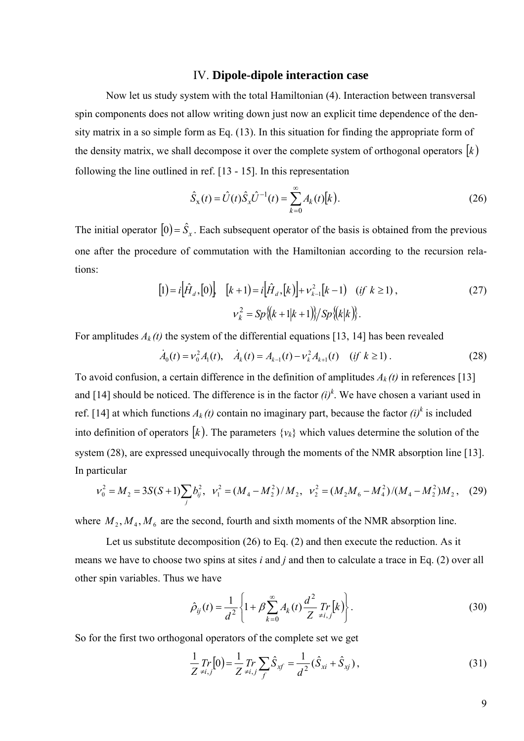### IV. **Dipole-dipole interaction case**

Now let us study system with the total Hamiltonian (4). Interaction between transversal spin components does not allow writing down just now an explicit time dependence of the density matrix in a so simple form as Eq. (13). In this situation for finding the appropriate form of the density matrix, we shall decompose it over the complete system of orthogonal operators  $[k]$ following the line outlined in ref. [13 - 15]. In this representation

$$
\hat{S}_x(t) = \hat{U}(t)\hat{S}_x\hat{U}^{-1}(t) = \sum_{k=0}^{\infty} A_k(t)[k].
$$
\n(26)

The initial operator  $[0] = \hat{S}_x$ . Each subsequent operator of the basis is obtained from the previous one after the procedure of commutation with the Hamiltonian according to the recursion relations:

$$
[1] = i\left[\hat{H}_d,[0]\right] \quad [k+1] = i\left[\hat{H}_d,[k]\right] + \nu_{k-1}^2[k-1] \quad (if \ k \ge 1),
$$
\n
$$
\nu_k^2 = Sp\{(k+1|k+1)\}/Sp\{(k|k)\}.
$$
\n(27)

For amplitudes  $A_k(t)$  the system of the differential equations [13, 14] has been revealed

$$
\dot{A}_0(t) = v_0^2 A_1(t), \quad \dot{A}_k(t) = A_{k-1}(t) - v_k^2 A_{k+1}(t) \quad (if \ k \ge 1).
$$
 (28)

To avoid confusion, a certain difference in the definition of amplitudes  $A_k(t)$  in references [13] and [14] should be noticed. The difference is in the factor  $(i)^k$ . We have chosen a variant used in ref. [14] at which functions  $A_k(t)$  contain no imaginary part, because the factor  $(i)^k$  is included into definition of operators  $[k]$ . The parameters  $\{v_k\}$  which values determine the solution of the system (28), are expressed unequivocally through the moments of the NMR absorption line [13]. In particular

$$
v_0^2 = M_2 = 3S(S+1)\sum_j b_{ij}^2, \quad v_1^2 = (M_4 - M_2^2)/M_2, \quad v_2^2 = (M_2M_6 - M_4^2)/(M_4 - M_2^2)M_2, \quad (29)
$$

where  $M_2, M_4, M_6$  are the second, fourth and sixth moments of the NMR absorption line.

Let us substitute decomposition (26) to Eq. (2) and then execute the reduction. As it means we have to choose two spins at sites *i* and *j* and then to calculate a trace in Eq. (2) over all other spin variables. Thus we have

$$
\hat{\rho}_{ij}(t) = \frac{1}{d^2} \left\{ 1 + \beta \sum_{k=0}^{\infty} A_k(t) \frac{d^2}{Z} \Pr_{\neq i,j}[k] \right\}.
$$
\n(30)

So for the first two orthogonal operators of the complete set we get

$$
\frac{1}{Z} \underset{\neq i,j}{Tr} [0] = \frac{1}{Z} \underset{\neq i,j}{Tr} \sum_{f} \hat{S}_{xf} = \frac{1}{d^2} (\hat{S}_{xi} + \hat{S}_{xj}), \tag{31}
$$

9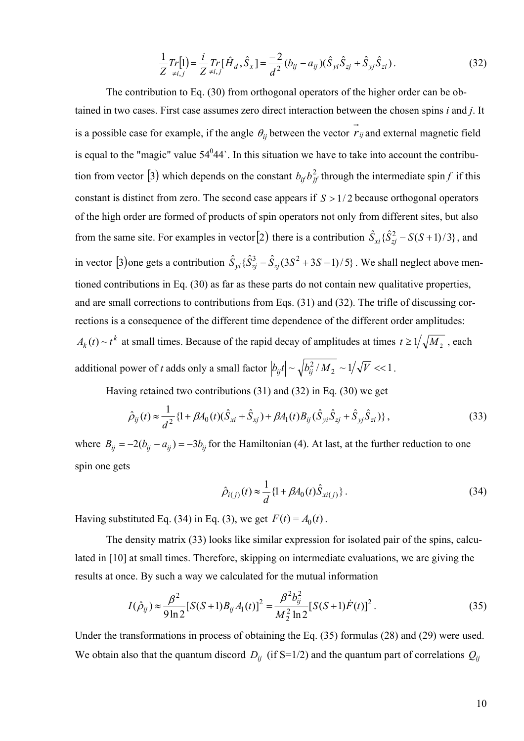$$
\frac{1}{Z}Tr[1] = \frac{i}{Z}Tr[\hat{H}_d, \hat{S}_x] = \frac{-2}{d^2}(b_{ij} - a_{ij})(\hat{S}_{yi}\hat{S}_{zi} + \hat{S}_{yj}\hat{S}_{zi}).
$$
\n(32)

The contribution to Eq. (30) from orthogonal operators of the higher order can be obtained in two cases. First case assumes zero direct interaction between the chosen spins *i* and *j*. It is a possible case for example, if the angle  $\theta_{ij}$  between the vector  $\vec{r}_{ij}$  and external magnetic field is equal to the "magic" value  $54^044$ . In this situation we have to take into account the contribution from vector [3) which depends on the constant  $b_{if}b_{if}^2$  through the intermediate spin *f* if this constant is distinct from zero. The second case appears if  $S > 1/2$  because orthogonal operators of the high order are formed of products of spin operators not only from different sites, but also from the same site. For examples in vector [2) there is a contribution  $\hat{S}_{xi} \{\hat{S}_{zj}^2 - S(S+1)/3\}$ , and in vector [3) one gets a contribution  $\hat{S}_{yi} \{\hat{S}_{zj}^3 - \hat{S}_{zj}(3S^2 + 3S - 1)/5\}$ . We shall neglect above mentioned contributions in Eq. (30) as far as these parts do not contain new qualitative properties, and are small corrections to contributions from Eqs. (31) and (32). The trifle of discussing corrections is a consequence of the different time dependence of the different order amplitudes:  $A_k(t) \sim t^k$  at small times. Because of the rapid decay of amplitudes at times  $t \ge 1/\sqrt{M_2}$ , each additional power of *t* adds only a small factor  $|b_{ij}t| \sim \sqrt{b_{ij}^2 / M_2} \sim 1/\sqrt{V} \ll 1$ .

Having retained two contributions (31) and (32) in Eq. (30) we get

$$
\hat{\rho}_{ij}(t) \approx \frac{1}{d^2} \{ 1 + \beta A_0(t) (\hat{S}_{xi} + \hat{S}_{xj}) + \beta A_1(t) B_{ij} (\hat{S}_{yi} \hat{S}_{zj} + \hat{S}_{yj} \hat{S}_{zi}) \},
$$
\n(33)

where  $B_{ij} = -2(b_{ij} - a_{ij}) = -3b_{ij}$  for the Hamiltonian (4). At last, at the further reduction to one spin one gets

$$
\hat{\rho}_{i(j)}(t) \approx \frac{1}{d} \{1 + \beta A_0(t) \hat{S}_{xi(j)}\}.
$$
\n(34)

Having substituted Eq. (34) in Eq. (3), we get  $F(t) = A_0(t)$ .

The density matrix (33) looks like similar expression for isolated pair of the spins, calculated in [10] at small times. Therefore, skipping on intermediate evaluations, we are giving the results at once. By such a way we calculated for the mutual information

$$
I(\hat{\rho}_{ij}) \approx \frac{\beta^2}{9 \ln 2} [S(S+1)B_{ij}A_1(t)]^2 = \frac{\beta^2 b_{ij}^2}{M_2^2 \ln 2} [S(S+1)\dot{F}(t)]^2.
$$
 (35)

Under the transformations in process of obtaining the Eq. (35) formulas (28) and (29) were used. We obtain also that the quantum discord  $D_{ii}$  (if S=1/2) and the quantum part of correlations  $Q_{ii}$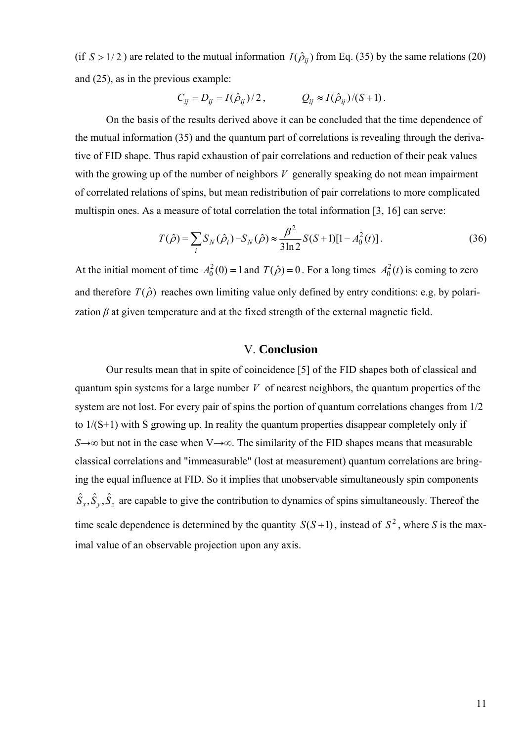(if  $S > 1/2$ ) are related to the mutual information  $I(\hat{\rho}_{ii})$  from Eq. (35) by the same relations (20) and (25), as in the previous example:

$$
C_{ij} = D_{ij} = I(\hat{\rho}_{ij})/2, \qquad Q_{ij} \approx I(\hat{\rho}_{ij})/(S+1).
$$

On the basis of the results derived above it can be concluded that the time dependence of the mutual information (35) and the quantum part of correlations is revealing through the derivative of FID shape. Thus rapid exhaustion of pair correlations and reduction of their peak values with the growing up of the number of neighbors *V* generally speaking do not mean impairment of correlated relations of spins, but mean redistribution of pair correlations to more complicated multispin ones. As a measure of total correlation the total information [3, 16] can serve:

$$
T(\hat{\rho}) = \sum_{i} S_N(\hat{\rho}_i) - S_N(\hat{\rho}) \approx \frac{\beta^2}{3\ln 2} S(S+1)[1 - A_0^2(t)].
$$
\n(36)

At the initial moment of time  $A_0^2(0) = 1$  and  $T(\hat{\rho}) = 0$ . For a long times  $A_0^2(t)$  is coming to zero and therefore  $T(\hat{\rho})$  reaches own limiting value only defined by entry conditions: e.g. by polarization  $\beta$  at given temperature and at the fixed strength of the external magnetic field.

#### V. **Conclusion**

Our results mean that in spite of coincidence [5] of the FID shapes both of classical and quantum spin systems for a large number *V* of nearest neighbors, the quantum properties of the system are not lost. For every pair of spins the portion of quantum correlations changes from 1/2 to 1/(S+1) with S growing up. In reality the quantum properties disappear completely only if *S*→∞ but not in the case when V→∞. The similarity of the FID shapes means that measurable classical correlations and "immeasurable" (lost at measurement) quantum correlations are bringing the equal influence at FID. So it implies that unobservable simultaneously spin components  $\hat{S}_x, \hat{S}_y, \hat{S}_z$  are capable to give the contribution to dynamics of spins simultaneously. Thereof the time scale dependence is determined by the quantity  $S(S+1)$ , instead of  $S^2$ , where *S* is the maximal value of an observable projection upon any axis.